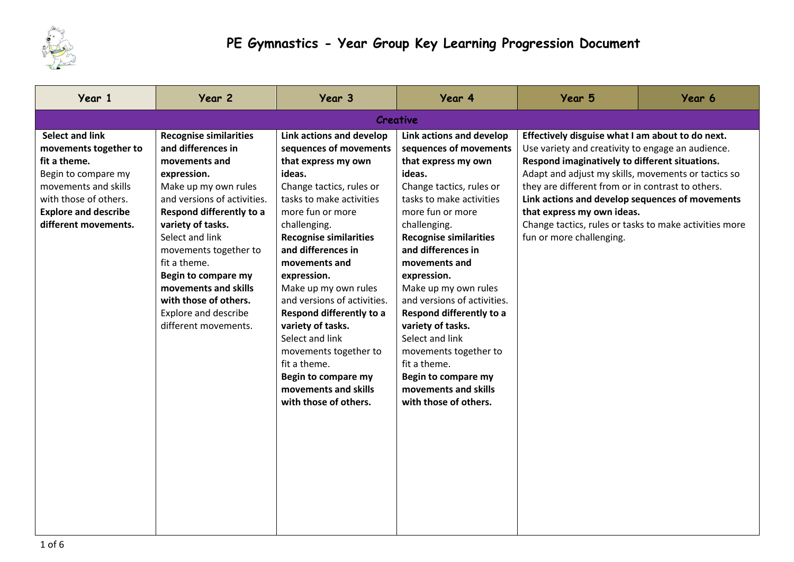

| Year 1                                                                                                                                                                                         | Year 2                                                                                                                                                                                                                                                                                                                                                                                 | Year 3                                                                                                                                                                                                                                                                                                                                                                                                                                                                                                                    | Year 4                                                                                                                                                                                                                                                                                                                                                                                                                                                                                                                    | Year 5                                                                                                                                                                                                                                                                                                                                                                                                                                     | Year 6 |  |  |
|------------------------------------------------------------------------------------------------------------------------------------------------------------------------------------------------|----------------------------------------------------------------------------------------------------------------------------------------------------------------------------------------------------------------------------------------------------------------------------------------------------------------------------------------------------------------------------------------|---------------------------------------------------------------------------------------------------------------------------------------------------------------------------------------------------------------------------------------------------------------------------------------------------------------------------------------------------------------------------------------------------------------------------------------------------------------------------------------------------------------------------|---------------------------------------------------------------------------------------------------------------------------------------------------------------------------------------------------------------------------------------------------------------------------------------------------------------------------------------------------------------------------------------------------------------------------------------------------------------------------------------------------------------------------|--------------------------------------------------------------------------------------------------------------------------------------------------------------------------------------------------------------------------------------------------------------------------------------------------------------------------------------------------------------------------------------------------------------------------------------------|--------|--|--|
| Creative                                                                                                                                                                                       |                                                                                                                                                                                                                                                                                                                                                                                        |                                                                                                                                                                                                                                                                                                                                                                                                                                                                                                                           |                                                                                                                                                                                                                                                                                                                                                                                                                                                                                                                           |                                                                                                                                                                                                                                                                                                                                                                                                                                            |        |  |  |
| <b>Select and link</b><br>movements together to<br>fit a theme.<br>Begin to compare my<br>movements and skills<br>with those of others.<br><b>Explore and describe</b><br>different movements. | <b>Recognise similarities</b><br>and differences in<br>movements and<br>expression.<br>Make up my own rules<br>and versions of activities.<br>Respond differently to a<br>variety of tasks.<br>Select and link<br>movements together to<br>fit a theme.<br><b>Begin to compare my</b><br>movements and skills<br>with those of others.<br>Explore and describe<br>different movements. | Link actions and develop<br>sequences of movements<br>that express my own<br>ideas.<br>Change tactics, rules or<br>tasks to make activities<br>more fun or more<br>challenging.<br><b>Recognise similarities</b><br>and differences in<br>movements and<br>expression.<br>Make up my own rules<br>and versions of activities.<br>Respond differently to a<br>variety of tasks.<br>Select and link<br>movements together to<br>fit a theme.<br><b>Begin to compare my</b><br>movements and skills<br>with those of others. | Link actions and develop<br>sequences of movements<br>that express my own<br>ideas.<br>Change tactics, rules or<br>tasks to make activities<br>more fun or more<br>challenging.<br><b>Recognise similarities</b><br>and differences in<br>movements and<br>expression.<br>Make up my own rules<br>and versions of activities.<br>Respond differently to a<br>variety of tasks.<br>Select and link<br>movements together to<br>fit a theme.<br><b>Begin to compare my</b><br>movements and skills<br>with those of others. | Effectively disguise what I am about to do next.<br>Use variety and creativity to engage an audience.<br>Respond imaginatively to different situations.<br>Adapt and adjust my skills, movements or tactics so<br>they are different from or in contrast to others.<br>Link actions and develop sequences of movements<br>that express my own ideas.<br>Change tactics, rules or tasks to make activities more<br>fun or more challenging. |        |  |  |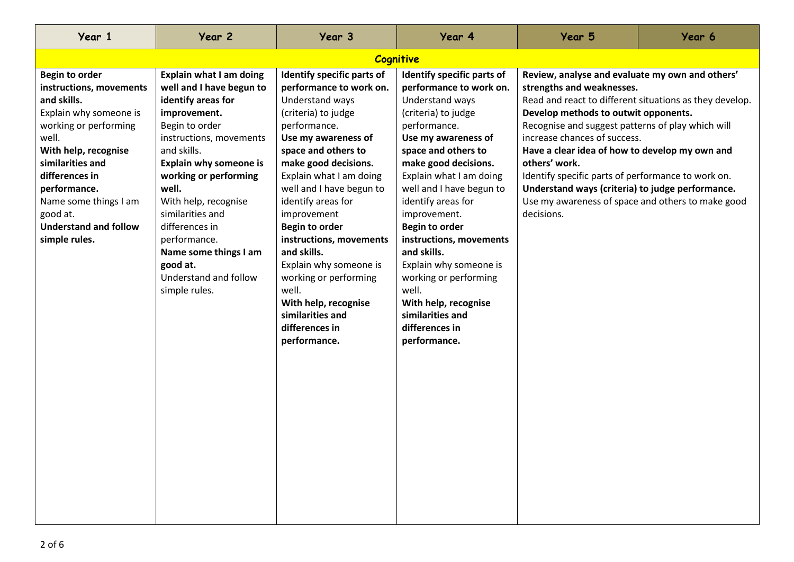| Year 1                                                                                                                                                                                                                                                                                          | Year 2                                                                                                                                                                                                                                                                                                                                                                                       | Year 3                                                                                                                                                                                                                                                                                                                                                                                                                                                                                         | Year 4                                                                                                                                                                                                                                                                                                                                                                                                                                                                                   | Year 5                                                                                                                                                                                                                                                                                                                                                                                                                                                    | Year 6                                                  |  |
|-------------------------------------------------------------------------------------------------------------------------------------------------------------------------------------------------------------------------------------------------------------------------------------------------|----------------------------------------------------------------------------------------------------------------------------------------------------------------------------------------------------------------------------------------------------------------------------------------------------------------------------------------------------------------------------------------------|------------------------------------------------------------------------------------------------------------------------------------------------------------------------------------------------------------------------------------------------------------------------------------------------------------------------------------------------------------------------------------------------------------------------------------------------------------------------------------------------|------------------------------------------------------------------------------------------------------------------------------------------------------------------------------------------------------------------------------------------------------------------------------------------------------------------------------------------------------------------------------------------------------------------------------------------------------------------------------------------|-----------------------------------------------------------------------------------------------------------------------------------------------------------------------------------------------------------------------------------------------------------------------------------------------------------------------------------------------------------------------------------------------------------------------------------------------------------|---------------------------------------------------------|--|
| <b>Cognitive</b>                                                                                                                                                                                                                                                                                |                                                                                                                                                                                                                                                                                                                                                                                              |                                                                                                                                                                                                                                                                                                                                                                                                                                                                                                |                                                                                                                                                                                                                                                                                                                                                                                                                                                                                          |                                                                                                                                                                                                                                                                                                                                                                                                                                                           |                                                         |  |
| <b>Begin to order</b><br>instructions, movements<br>and skills.<br>Explain why someone is<br>working or performing<br>well.<br>With help, recognise<br>similarities and<br>differences in<br>performance.<br>Name some things I am<br>good at.<br><b>Understand and follow</b><br>simple rules. | <b>Explain what I am doing</b><br>well and I have begun to<br>identify areas for<br>improvement.<br>Begin to order<br>instructions, movements<br>and skills.<br><b>Explain why someone is</b><br>working or performing<br>well.<br>With help, recognise<br>similarities and<br>differences in<br>performance.<br>Name some things I am<br>good at.<br>Understand and follow<br>simple rules. | Identify specific parts of<br>performance to work on.<br>Understand ways<br>(criteria) to judge<br>performance.<br>Use my awareness of<br>space and others to<br>make good decisions.<br>Explain what I am doing<br>well and I have begun to<br>identify areas for<br>improvement<br><b>Begin to order</b><br>instructions, movements<br>and skills.<br>Explain why someone is<br>working or performing<br>well.<br>With help, recognise<br>similarities and<br>differences in<br>performance. | Identify specific parts of<br>performance to work on.<br>Understand ways<br>(criteria) to judge<br>performance.<br>Use my awareness of<br>space and others to<br>make good decisions.<br>Explain what I am doing<br>well and I have begun to<br>identify areas for<br>improvement.<br>Begin to order<br>instructions, movements<br>and skills.<br>Explain why someone is<br>working or performing<br>well.<br>With help, recognise<br>similarities and<br>differences in<br>performance. | Review, analyse and evaluate my own and others'<br>strengths and weaknesses.<br>Develop methods to outwit opponents.<br>Recognise and suggest patterns of play which will<br>increase chances of success.<br>Have a clear idea of how to develop my own and<br>others' work.<br>Identify specific parts of performance to work on.<br>Understand ways (criteria) to judge performance.<br>Use my awareness of space and others to make good<br>decisions. | Read and react to different situations as they develop. |  |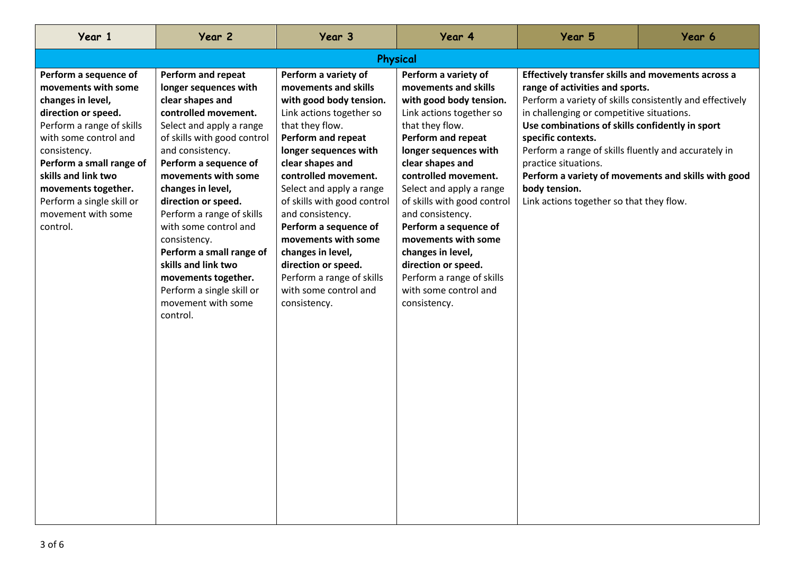| Year 1                                                                                                                                                                                                                                                                                                  | Year 2                                                                                                                                                                                                                                                                                                                                                                                                                                                                            | Year 3                                                                                                                                                                                                                                                                                                                                                                                                                                                                    | Year 4                                                                                                                                                                                                                                                                                                                                                                                                                                                             | Year 5                                                                                                                                                                                                                                                                                                                                                                                                               | Year 6                                              |  |
|---------------------------------------------------------------------------------------------------------------------------------------------------------------------------------------------------------------------------------------------------------------------------------------------------------|-----------------------------------------------------------------------------------------------------------------------------------------------------------------------------------------------------------------------------------------------------------------------------------------------------------------------------------------------------------------------------------------------------------------------------------------------------------------------------------|---------------------------------------------------------------------------------------------------------------------------------------------------------------------------------------------------------------------------------------------------------------------------------------------------------------------------------------------------------------------------------------------------------------------------------------------------------------------------|--------------------------------------------------------------------------------------------------------------------------------------------------------------------------------------------------------------------------------------------------------------------------------------------------------------------------------------------------------------------------------------------------------------------------------------------------------------------|----------------------------------------------------------------------------------------------------------------------------------------------------------------------------------------------------------------------------------------------------------------------------------------------------------------------------------------------------------------------------------------------------------------------|-----------------------------------------------------|--|
| Physical                                                                                                                                                                                                                                                                                                |                                                                                                                                                                                                                                                                                                                                                                                                                                                                                   |                                                                                                                                                                                                                                                                                                                                                                                                                                                                           |                                                                                                                                                                                                                                                                                                                                                                                                                                                                    |                                                                                                                                                                                                                                                                                                                                                                                                                      |                                                     |  |
| Perform a sequence of<br>movements with some<br>changes in level,<br>direction or speed.<br>Perform a range of skills<br>with some control and<br>consistency.<br>Perform a small range of<br>skills and link two<br>movements together.<br>Perform a single skill or<br>movement with some<br>control. | Perform and repeat<br>longer sequences with<br>clear shapes and<br>controlled movement.<br>Select and apply a range<br>of skills with good control<br>and consistency.<br>Perform a sequence of<br>movements with some<br>changes in level,<br>direction or speed.<br>Perform a range of skills<br>with some control and<br>consistency.<br>Perform a small range of<br>skills and link two<br>movements together.<br>Perform a single skill or<br>movement with some<br>control. | Perform a variety of<br>movements and skills<br>with good body tension.<br>Link actions together so<br>that they flow.<br><b>Perform and repeat</b><br>longer sequences with<br>clear shapes and<br>controlled movement.<br>Select and apply a range<br>of skills with good control<br>and consistency.<br>Perform a sequence of<br>movements with some<br>changes in level,<br>direction or speed.<br>Perform a range of skills<br>with some control and<br>consistency. | Perform a variety of<br>movements and skills<br>with good body tension.<br>Link actions together so<br>that they flow.<br>Perform and repeat<br>longer sequences with<br>clear shapes and<br>controlled movement.<br>Select and apply a range<br>of skills with good control<br>and consistency.<br>Perform a sequence of<br>movements with some<br>changes in level,<br>direction or speed.<br>Perform a range of skills<br>with some control and<br>consistency. | Effectively transfer skills and movements across a<br>range of activities and sports.<br>Perform a variety of skills consistently and effectively<br>in challenging or competitive situations.<br>Use combinations of skills confidently in sport<br>specific contexts.<br>Perform a range of skills fluently and accurately in<br>practice situations.<br>body tension.<br>Link actions together so that they flow. | Perform a variety of movements and skills with good |  |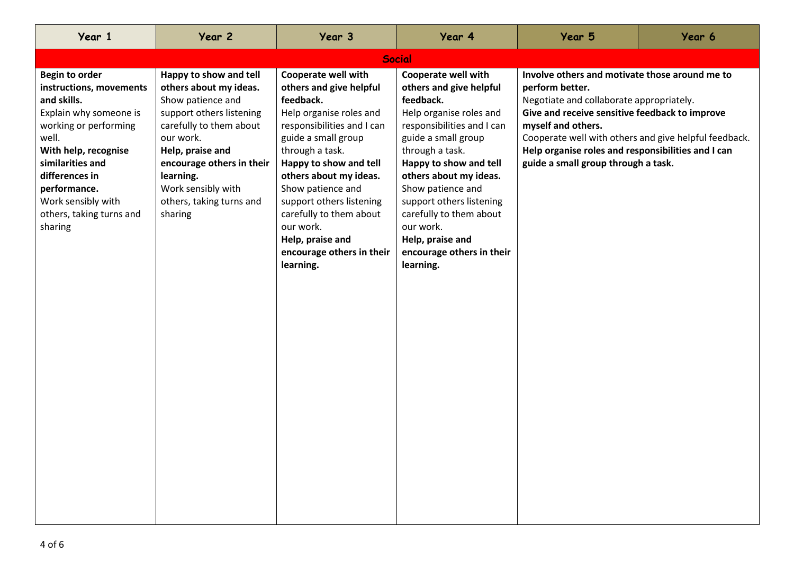| Year 1                                                                                                                                                                                                                                                                 | Year 2                                                                                                                                                                                                                                                               | Year 3                                                                                                                                                                                                                                                                                                                                                                    | Year 4                                                                                                                                                                                                                                                                                                                                                                           | Year 5                                                                                                                                                                                                                                                                                                                                      | Year 6 |
|------------------------------------------------------------------------------------------------------------------------------------------------------------------------------------------------------------------------------------------------------------------------|----------------------------------------------------------------------------------------------------------------------------------------------------------------------------------------------------------------------------------------------------------------------|---------------------------------------------------------------------------------------------------------------------------------------------------------------------------------------------------------------------------------------------------------------------------------------------------------------------------------------------------------------------------|----------------------------------------------------------------------------------------------------------------------------------------------------------------------------------------------------------------------------------------------------------------------------------------------------------------------------------------------------------------------------------|---------------------------------------------------------------------------------------------------------------------------------------------------------------------------------------------------------------------------------------------------------------------------------------------------------------------------------------------|--------|
|                                                                                                                                                                                                                                                                        |                                                                                                                                                                                                                                                                      |                                                                                                                                                                                                                                                                                                                                                                           | <b>Social</b>                                                                                                                                                                                                                                                                                                                                                                    |                                                                                                                                                                                                                                                                                                                                             |        |
| <b>Begin to order</b><br>instructions, movements<br>and skills.<br>Explain why someone is<br>working or performing<br>well.<br>With help, recognise<br>similarities and<br>differences in<br>performance.<br>Work sensibly with<br>others, taking turns and<br>sharing | Happy to show and tell<br>others about my ideas.<br>Show patience and<br>support others listening<br>carefully to them about<br>our work.<br>Help, praise and<br>encourage others in their<br>learning.<br>Work sensibly with<br>others, taking turns and<br>sharing | Cooperate well with<br>others and give helpful<br>feedback.<br>Help organise roles and<br>responsibilities and I can<br>guide a small group<br>through a task.<br>Happy to show and tell<br>others about my ideas.<br>Show patience and<br>support others listening<br>carefully to them about<br>our work.<br>Help, praise and<br>encourage others in their<br>learning. | <b>Cooperate well with</b><br>others and give helpful<br>feedback.<br>Help organise roles and<br>responsibilities and I can<br>guide a small group<br>through a task.<br>Happy to show and tell<br>others about my ideas.<br>Show patience and<br>support others listening<br>carefully to them about<br>our work.<br>Help, praise and<br>encourage others in their<br>learning. | Involve others and motivate those around me to<br>perform better.<br>Negotiate and collaborate appropriately.<br>Give and receive sensitive feedback to improve<br>myself and others.<br>Cooperate well with others and give helpful feedback.<br>Help organise roles and responsibilities and I can<br>guide a small group through a task. |        |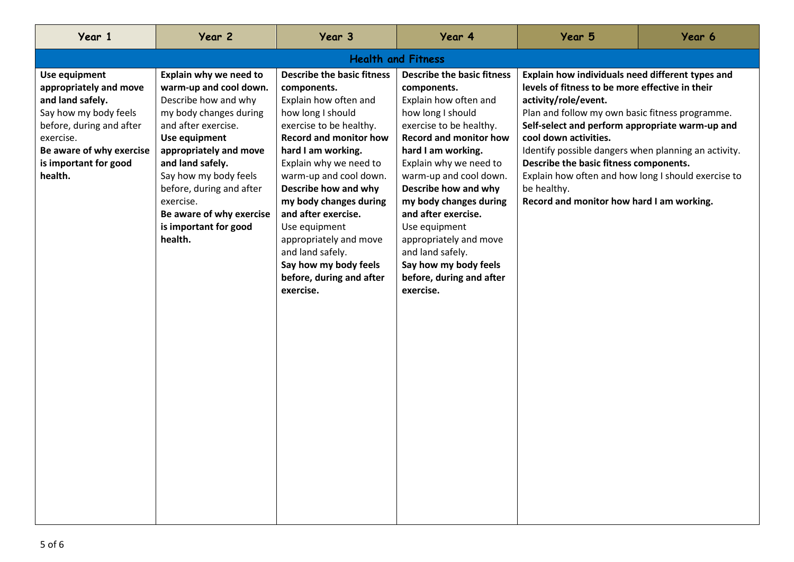| Year 1                                                                                                                                                                                        | Year 2                                                                                                                                                                                                                                                                                                                     | Year 3                                                                                                                                                                                                                                                                                                                                                                                                                                         | Year 4                                                                                                                                                                                                                                                                                                                                                                                                                                         | Year 5                                                                                                                                                                                                                                                                                                                                                                                                                                                                          | Year 6 |  |
|-----------------------------------------------------------------------------------------------------------------------------------------------------------------------------------------------|----------------------------------------------------------------------------------------------------------------------------------------------------------------------------------------------------------------------------------------------------------------------------------------------------------------------------|------------------------------------------------------------------------------------------------------------------------------------------------------------------------------------------------------------------------------------------------------------------------------------------------------------------------------------------------------------------------------------------------------------------------------------------------|------------------------------------------------------------------------------------------------------------------------------------------------------------------------------------------------------------------------------------------------------------------------------------------------------------------------------------------------------------------------------------------------------------------------------------------------|---------------------------------------------------------------------------------------------------------------------------------------------------------------------------------------------------------------------------------------------------------------------------------------------------------------------------------------------------------------------------------------------------------------------------------------------------------------------------------|--------|--|
| <b>Health and Fitness</b>                                                                                                                                                                     |                                                                                                                                                                                                                                                                                                                            |                                                                                                                                                                                                                                                                                                                                                                                                                                                |                                                                                                                                                                                                                                                                                                                                                                                                                                                |                                                                                                                                                                                                                                                                                                                                                                                                                                                                                 |        |  |
| Use equipment<br>appropriately and move<br>and land safely.<br>Say how my body feels<br>before, during and after<br>exercise.<br>Be aware of why exercise<br>is important for good<br>health. | Explain why we need to<br>warm-up and cool down.<br>Describe how and why<br>my body changes during<br>and after exercise.<br>Use equipment<br>appropriately and move<br>and land safely.<br>Say how my body feels<br>before, during and after<br>exercise.<br>Be aware of why exercise<br>is important for good<br>health. | <b>Describe the basic fitness</b><br>components.<br>Explain how often and<br>how long I should<br>exercise to be healthy.<br><b>Record and monitor how</b><br>hard I am working.<br>Explain why we need to<br>warm-up and cool down.<br>Describe how and why<br>my body changes during<br>and after exercise.<br>Use equipment<br>appropriately and move<br>and land safely.<br>Say how my body feels<br>before, during and after<br>exercise. | <b>Describe the basic fitness</b><br>components.<br>Explain how often and<br>how long I should<br>exercise to be healthy.<br><b>Record and monitor how</b><br>hard I am working.<br>Explain why we need to<br>warm-up and cool down.<br>Describe how and why<br>my body changes during<br>and after exercise.<br>Use equipment<br>appropriately and move<br>and land safely.<br>Say how my body feels<br>before, during and after<br>exercise. | Explain how individuals need different types and<br>levels of fitness to be more effective in their<br>activity/role/event.<br>Plan and follow my own basic fitness programme.<br>Self-select and perform appropriate warm-up and<br>cool down activities.<br>Identify possible dangers when planning an activity.<br>Describe the basic fitness components.<br>Explain how often and how long I should exercise to<br>be healthy.<br>Record and monitor how hard I am working. |        |  |